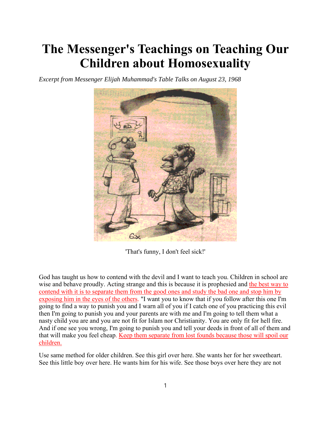## **The Messenger's Teachings on Teaching Our Children about Homosexuality**

*Excerpt from Messenger Elijah Muhammad's Table Talks on August 23, 1968*



'That's funny, I don't feel sick!'

God has taught us how to contend with the devil and I want to teach you. Children in school are wise and behave proudly. Acting strange and this is because it is prophesied and the best way to contend with it is to separate them from the good ones and study the bad one and stop him by exposing him in the eyes of the others. "I want you to know that if you follow after this one I'm going to find a way to punish you and I warn all of you if I catch one of you practicing this evil then I'm going to punish you and your parents are with me and I'm going to tell them what a nasty child you are and you are not fit for Islam nor Christianity. You are only fit for hell fire. And if one see you wrong, I'm going to punish you and tell your deeds in front of all of them and that will make you feel cheap. Keep them separate from lost founds because those will spoil our children.

Use same method for older children. See this girl over here. She wants her for her sweetheart. See this little boy over here. He wants him for his wife. See those boys over here they are not